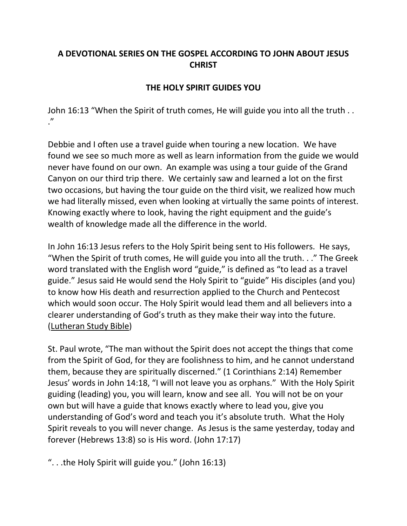## **A DEVOTIONAL SERIES ON THE GOSPEL ACCORDING TO JOHN ABOUT JESUS CHRIST**

## **THE HOLY SPIRIT GUIDES YOU**

John 16:13 "When the Spirit of truth comes, He will guide you into all the truth . . ."

Debbie and I often use a travel guide when touring a new location. We have found we see so much more as well as learn information from the guide we would never have found on our own. An example was using a tour guide of the Grand Canyon on our third trip there. We certainly saw and learned a lot on the first two occasions, but having the tour guide on the third visit, we realized how much we had literally missed, even when looking at virtually the same points of interest. Knowing exactly where to look, having the right equipment and the guide's wealth of knowledge made all the difference in the world.

In John 16:13 Jesus refers to the Holy Spirit being sent to His followers. He says, "When the Spirit of truth comes, He will guide you into all the truth. . ." The Greek word translated with the English word "guide," is defined as "to lead as a travel guide." Jesus said He would send the Holy Spirit to "guide" His disciples (and you) to know how His death and resurrection applied to the Church and Pentecost which would soon occur. The Holy Spirit would lead them and all believers into a clearer understanding of God's truth as they make their way into the future. (Lutheran Study Bible)

St. Paul wrote, "The man without the Spirit does not accept the things that come from the Spirit of God, for they are foolishness to him, and he cannot understand them, because they are spiritually discerned." (1 Corinthians 2:14) Remember Jesus' words in John 14:18, "I will not leave you as orphans." With the Holy Spirit guiding (leading) you, you will learn, know and see all. You will not be on your own but will have a guide that knows exactly where to lead you, give you understanding of God's word and teach you it's absolute truth. What the Holy Spirit reveals to you will never change. As Jesus is the same yesterday, today and forever (Hebrews 13:8) so is His word. (John 17:17)

". . .the Holy Spirit will guide you." (John 16:13)